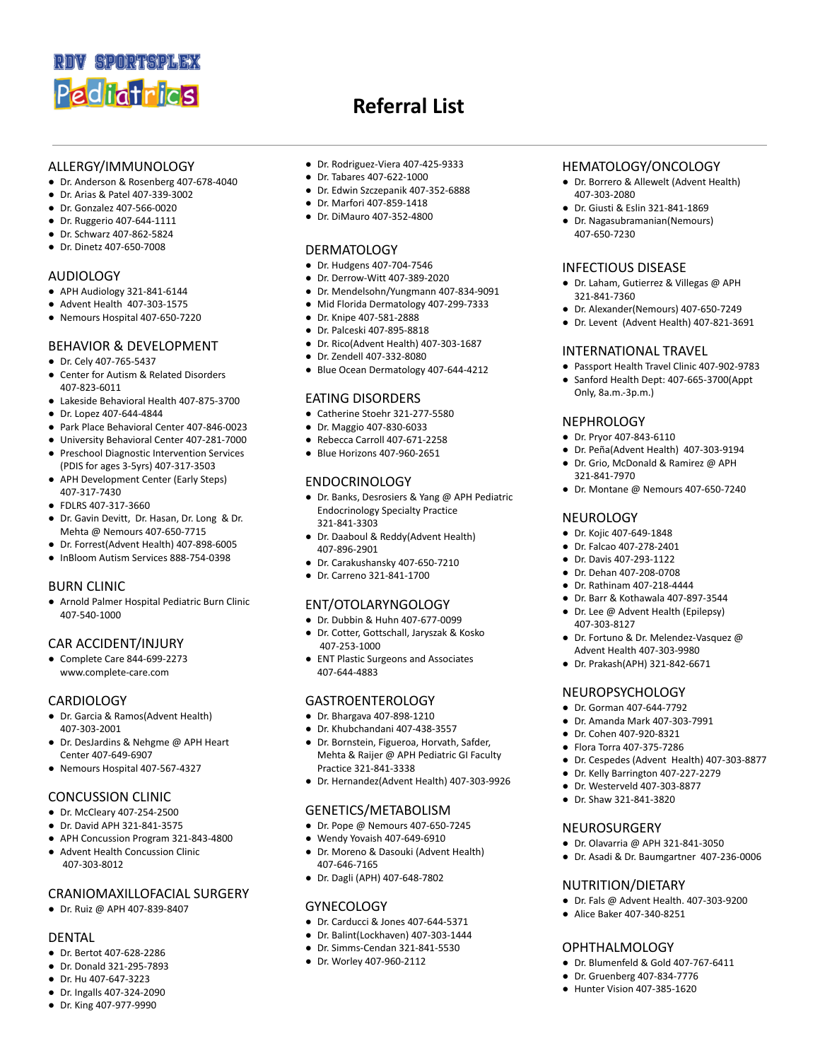

- ALLERGY/IMMUNOLOGY
- Dr. Anderson & Rosenberg 407-678-4040
- Dr. Arias & Patel 407-339-3002
- Dr. Gonzalez 407-566-0020
- Dr. Ruggerio 407-644-1111
- Dr. Schwarz 407-862-5824
- Dr. Dinetz 407-650-7008

## AUDIOLOGY

- APH Audiology 321-841-6144
- Advent Health 407-303-1575
- Nemours Hospital 407-650-7220

## BEHAVIOR & DEVELOPMENT

- Dr. Cely 407-765-5437
- Center for Autism & Related Disorders 407-823-6011
- Lakeside Behavioral Health 407-875-3700
- Dr. Lopez 407-644-4844
- Park Place Behavioral Center 407-846-0023
- University Behavioral Center 407-281-7000
- Preschool Diagnostic Intervention Services (PDIS for ages 3-5yrs) 407-317-3503
- APH Development Center (Early Steps) 407-317-7430
- FDLRS 407-317-3660
- Dr. Gavin Devitt, Dr. Hasan, Dr. Long & Dr. Mehta @ Nemours 407-650-7715
- Dr. Forrest(Advent Health) 407-898-6005
- InBloom Autism Services 888-754-0398

## BURN CLINIC

● Arnold Palmer Hospital Pediatric Burn Clinic 407-540-1000

## CAR ACCIDENT/INJURY

● Complete Care 844-699-2273 www.complete-care.com

## **CARDIOLOGY**

- Dr. Garcia & Ramos(Advent Health) 407-303-2001
- Dr. DesJardins & Nehgme @ APH Heart Center 407-649-6907
- Nemours Hospital 407-567-4327

## CONCUSSION CLINIC

- Dr. McCleary 407-254-2500
- Dr. David APH 321-841-3575
- APH Concussion Program 321-843-4800
- Advent Health Concussion Clinic 407-303-8012

## CRANIOMAXILLOFACIAL SURGERY

● Dr. Ruiz @ APH 407-839-8407

## DENTAL

- Dr. Bertot 407-628-2286
- Dr. Donald 321-295-7893
- Dr. Hu 407-647-3223
- Dr. Ingalls 407-324-2090
- Dr. King 407-977-9990

● Dr. Rodriguez-Viera 407-425-9333

**Referral List**

- Dr. Tabares 407-622-1000
- Dr. Edwin Szczepanik 407-352-6888
- Dr. Marfori 407-859-1418
- Dr. DiMauro 407-352-4800

# **DERMATOLOGY**

- Dr. Hudgens 407-704-7546
- Dr. Derrow-Witt 407-389-2020
- Dr. Mendelsohn/Yungmann 407-834-9091
- Mid Florida Dermatology 407-299-7333
- Dr. Knipe 407-581-2888
- Dr. Palceski 407-895-8818
- Dr. Rico(Advent Health) 407-303-1687
- Dr. Zendell 407-332-8080
- Blue Ocean Dermatology 407-644-4212

#### EATING DISORDERS

- Catherine Stoehr 321-277-5580
- Dr. Maggio 407-830-6033
- Rebecca Carroll 407-671-2258
- Blue Horizons 407-960-2651

# ENDOCRINOLOGY

- Dr. Banks, Desrosiers & Yang @ APH Pediatric Endocrinology Specialty Practice 321-841-3303
- Dr. Daaboul & Reddy(Advent Health) 407-896-2901
- Dr. Carakushansky 407-650-7210
- Dr. Carreno 321-841-1700

## ENT/OTOLARYNGOLOGY

- Dr. Dubbin & Huhn 407-677-0099
- Dr. Cotter, Gottschall, Jaryszak & Kosko 407-253-1000
- ENT Plastic Surgeons and Associates 407-644-4883

# GASTROENTEROLOGY

- Dr. Bhargava 407-898-1210
- Dr. Khubchandani 407-438-3557
- Dr. Bornstein, Figueroa, Horvath, Safder, Mehta & Raijer @ APH Pediatric GI Faculty Practice 321-841-3338
- Dr. Hernandez(Advent Health) 407-303-9926

## GENETICS/METABOLISM

- Dr. Pope @ Nemours 407-650-7245
- Wendy Yovaish 407-649-6910
- Dr. Moreno & Dasouki (Advent Health) 407-646-7165
- Dr. Dagli (APH) 407-648-7802

#### **GYNECOLOGY**

- Dr. Carducci & Jones 407-644-5371
- Dr. Balint(Lockhaven) 407-303-1444
- Dr. Simms-Cendan 321-841-5530
- Dr. Worley 407-960-2112

## HEMATOLOGY/ONCOLOGY

- Dr. Borrero & Allewelt (Advent Health) 407-303-2080
- Dr. Giusti & Eslin 321-841-1869
- Dr. Nagasubramanian(Nemours) 407-650-7230

#### INFECTIOUS DISEASE

- Dr. Laham, Gutierrez & Villegas @ APH 321-841-7360
- Dr. Alexander(Nemours) 407-650-7249
- Dr. Levent (Advent Health) 407-821-3691

● Passport Health Travel Clinic 407-902-9783 ● Sanford Health Dept: 407-665-3700(Appt

● Dr. Peña(Advent Health) 407-303-9194 ● Dr. Grio, McDonald & Ramirez @ APH

● Dr. Montane @ Nemours 407-650-7240

● Dr. Fortuno & Dr. Melendez-Vasquez @ Advent Health 407-303-9980 ● Dr. Prakash(APH) 321-842-6671

● Dr. Cespedes (Advent Health) 407-303-8877

● Dr. Kelly Barrington 407-227-2279 ● Dr. Westerveld 407-303-8877 ● Dr. Shaw 321-841-3820

● Dr. Olavarria @ APH 321-841-3050 ● Dr. Asadi & Dr. Baumgartner 407-236-0006

● Dr. Fals @ Advent Health. 407-303-9200

● Dr. Blumenfeld & Gold 407-767-6411 ● Dr. Gruenberg 407-834-7776 ● Hunter Vision 407-385-1620

## INTERNATIONAL TRAVEL

Only, 8a.m.-3p.m.)

**NEPHROLOGY** ● Dr. Pryor 407-843-6110

321-841-7970

**NEUROLOGY** ● Dr. Kojic 407-649-1848 ● Dr. Falcao 407-278-2401 ● Dr. Davis 407-293-1122 ● Dr. Dehan 407-208-0708 ● Dr. Rathinam 407-218-4444 ● Dr. Barr & Kothawala 407-897-3544 ● Dr. Lee @ Advent Health (Epilepsy)

407-303-8127

NEUROPSYCHOLOGY ● Dr. Gorman 407-644-7792 ● Dr. Amanda Mark 407-303-7991 ● Dr. Cohen 407-920-8321 ● Flora Torra 407-375-7286

NEUROSURGERY

NUTRITION/DIETARY

● Alice Baker 407-340-8251

OPHTHALMOLOGY